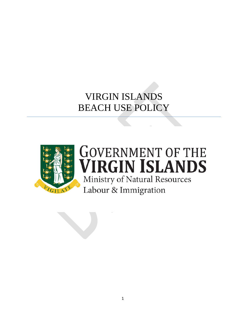# VIRGIN ISLANDS BEACH USE POLICY



# **GOVERNMENT OF THE VIRGIN ISLANDS** Ministry of Natural Resources Labour & Immigration

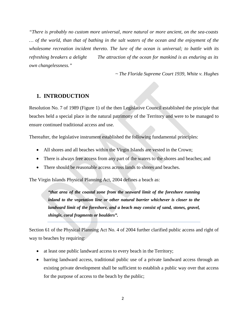*"There is probably no custom more universal, more natural or more ancient, on the sea-coasts … of the world, than that of bathing in the salt waters of the ocean and the enjoyment of the wholesome recreation incident thereto. The lure of the ocean is universal; to battle with its refreshing breakers a delight The attraction of the ocean for mankind is as enduring as its own changelessness."*

*~ The Florida Supreme Court 1939, White v. Hughes*

## **1. INTRODUCTION**

Resolution No. 7 of 1989 (Figure 1) of the then Legislative Council established the principle that beaches held a special place in the natural patrimony of the Territory and were to be managed to ensure continued traditional access and use.

Thereafter, the legislative instrument established the following fundamental principles:

- All shores and all beaches within the Virgin Islands are vested in the Crown;
- There is always free access from any part of the waters to the shores and beaches; and
- There should be reasonable access across lands to shores and beaches.

The Virgin Islands Physical Planning Act, 2004 defines a beach as:

*"that area of the coastal zone from the seaward limit of the foreshore running inland to the vegetation line or other natural barrier whichever is closer to the*  landward limit of the foreshore, and a beach may consist of sand, stones, gravel, *shingle, coral fragments or boulders".*

Section 61 of the Physical Planning Act No. 4 of 2004 further clarified public access and right of way to beaches by requiring:

- at least one public landward access to every beach in the Territory;
- barring landward access, traditional public use of a private landward access through an existing private development shall be sufficient to establish a public way over that access for the purpose of access to the beach by the public;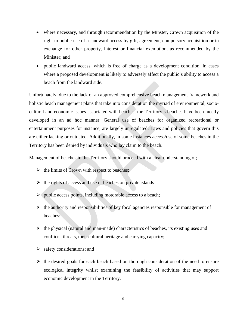- where necessary, and through recommendation by the Minster, Crown acquisition of the right to public use of a landward access by gift, agreement, compulsory acquisition or in exchange for other property, interest or financial exemption, as recommended by the Minister; and
- public landward access, which is free of charge as a development condition, in cases where a proposed development is likely to adversely affect the public's ability to access a beach from the landward side.

Unfortunately, due to the lack of an approved comprehensive beach management framework and holistic beach management plans that take into consideration the myriad of environmental, sociocultural and economic issues associated with beaches, the Territory's beaches have been mostly developed in an ad hoc manner. General use of beaches for organized recreational or entertainment purposes for instance, are largely unregulated. Laws and policies that govern this are either lacking or outdated. Additionally, in some instances access/use of some beaches in the Territory has been denied by individuals who lay claim to the beach.

Management of beaches in the Territory should proceed with a clear understanding of;

- $\triangleright$  the limits of Crown with respect to beaches;
- $\triangleright$  the rights of access and use of beaches on private islands
- $\triangleright$  (public access points, including motorable access to a beach;
- $\triangleright$  the authority and responsibilities of key focal agencies responsible for management of beaches;
- $\triangleright$  the physical (natural and man-made) characteristics of beaches, its existing uses and conflicts, threats, their cultural heritage and carrying capacity;
- $\triangleright$  safety considerations; and
- $\triangleright$  the desired goals for each beach based on thorough consideration of the need to ensure ecological integrity whilst examining the feasibility of activities that may support economic development in the Territory.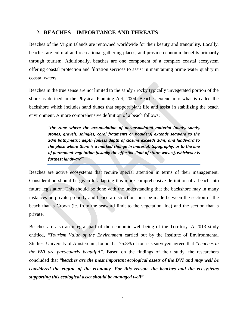## **2. BEACHES – IMPORTANCE AND THREATS**

Beaches of the Virgin Islands are renowned worldwide for their beauty and tranquility. Locally, beaches are cultural and recreational gathering places, and provide economic benefits primarily through tourism. Additionally, beaches are one component of a complex coastal ecosystem offering coastal protection and filtration services to assist in maintaining prime water quality in coastal waters.

Beaches in the true sense are not limited to the sandy / rocky typically unvegetated portion of the shore as defined in the Physical Planning Act, 2004. Beaches extend into what is called the backshore which includes sand dunes that support plant life and assist in stabilizing the beach environment. A more comprehensive definition of a beach follows;

*"the zone where the accumulation of unconsolidated material (muds, sands, stones, gravels, shingles, coral fragments or boulders) extends seaward to the 20m bathymetric depth (unless depth of closure exceeds 20m) and landward to the place where there is a marked change in material, topography, or to the line of permanent vegetation (usually the effective limit of storm waves), whichever is furthest landward".*

Beaches are active ecosystems that require special attention in terms of their management. Consideration should be given to adapting this more comprehensive definition of a beach into future legislation. This should be done with the understanding that the backshore may in many instances be private property and hence a distinction must be made between the section of the beach that is Crown (ie. from the seaward limit to the vegetation line) and the section that is private.

Beaches are also an integral part of the economic well-being of the Territory. A 2013 study entitled, *"Tourism Value of the Environment* carried out by the Institute of Environmental Studies, University of Amsterdam, found that 75.8% of tourists surveyed agreed that *"beaches in the BVI are particularly beautiful"*. Based on the findings of their study, the researchers concluded that *"beaches are the most important ecological assets of the BVI and may well be considered the engine of the economy. For this reason, the beaches and the ecosystems supporting this ecological asset should be managed well"*.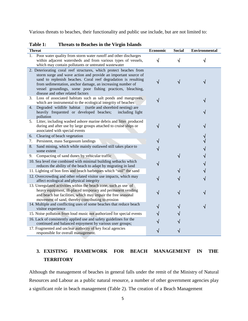Various threats to beaches, their functionality and public use include, but are not limited to:

| <b>Threat</b>                                                                                                                                                                                                                                                                                                                                                           | Economic | <b>Social</b> | <b>Environmental</b> |
|-------------------------------------------------------------------------------------------------------------------------------------------------------------------------------------------------------------------------------------------------------------------------------------------------------------------------------------------------------------------------|----------|---------------|----------------------|
| 1. Poor water quality from storm water runoff and other discharges<br>within adjacent watersheds and from various types of vessels,<br>which may contain pollutants or untreated wastewater                                                                                                                                                                             |          |               |                      |
| 2. Deteriorating coral reef structures, which protect beaches from<br>storm surge and wave action and provide an important source of<br>sand to replenish beaches. Coral reef degradation is resulting<br>from sedimentation, anchor damage, an increasing number of<br>vessel groundings, some poor fishing practices, bleaching,<br>disease and other related factors |          |               |                      |
| Loss of associated habitats such as salt ponds and mangroves,<br>3.<br>which are instrumental to the ecological integrity of beaches                                                                                                                                                                                                                                    |          |               |                      |
| Degraded wildlife habitat<br>(turtle and shorebird nesting) are<br>4.<br>heavily frequented or developed beaches;<br>including light<br>pollution                                                                                                                                                                                                                       |          |               |                      |
| 5. Litter, including washed ashore marine debris and litter produced<br>during and after use by large groups attached to cruise ships or<br>associated with special events                                                                                                                                                                                              |          |               |                      |
| Clearing of beach vegetation<br>6.                                                                                                                                                                                                                                                                                                                                      |          |               |                      |
| Persistent, mass Sargassum landings<br>7.                                                                                                                                                                                                                                                                                                                               |          |               |                      |
| Sand mining, which while mainly outlawed still takes place to<br>8.<br>some extent                                                                                                                                                                                                                                                                                      |          |               |                      |
| Compacting of sand dunes by vehicular traffic<br>9.                                                                                                                                                                                                                                                                                                                     |          |               |                      |
| 10. Sea level rise combined with minimal building setbacks which<br>reduces the ability of the beach to adapt by migrating in land                                                                                                                                                                                                                                      |          |               |                      |
| 11. Lighting of bon fires and beach barbeques which "soil" the sand                                                                                                                                                                                                                                                                                                     |          |               |                      |
| 12. Overcrowding and other related visitor use impacts, which may<br>affect ecological and physical integrity                                                                                                                                                                                                                                                           |          |               |                      |
| 13. Unregulated activities within the beach zone, such as use of<br>heavy equipment, ill-placed temporary and permanent vending<br>and beach bar facilities, which may impair the free seasonal<br>movement of sand, thereby contributing to erosion                                                                                                                    |          |               |                      |
| 14. Multiple and conflicting uses of some beaches that reduce beach<br>visitor experience                                                                                                                                                                                                                                                                               |          |               |                      |
| 15. Noise pollution from loud music not authorized for special events                                                                                                                                                                                                                                                                                                   |          |               |                      |
| 16. Lack of consistently applied use and safety guidelines for the<br>continued and balanced enjoyment by various user groups;                                                                                                                                                                                                                                          |          |               |                      |
| 17. Fragmented and unclear authority of key focal agencies<br>responsible for overall management.                                                                                                                                                                                                                                                                       |          |               |                      |

**Table 1: Threats to Beaches in the Virgin Islands**

# **3. EXISTING FRAMEWORK FOR BEACH MANAGEMENT IN THE TERRITORY**

Although the management of beaches in general falls under the remit of the Ministry of Natural Resources and Labour as a public natural resource, a number of other government agencies play a significant role in beach management (Table 2). The creation of a Beach Management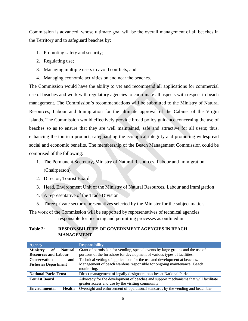Commission is advanced, whose ultimate goal will be the overall management of all beaches in the Territory and to safeguard beaches by:

- 1. Promoting safety and security;
- 2. Regulating use;
- 3. Managing multiple users to avoid conflicts; and
- 4. Managing economic activities on and near the beaches.

The Commission would have the ability to vet and recommend all applications for commercial use of beaches and work with regulatory agencies to coordinate all aspects with respect to beach management. The Commission's recommendations will be submitted to the Ministry of Natural Resources, Labour and Immigration for the ultimate approval of the Cabinet of the Virgin Islands. The Commission would effectively provide broad policy guidance concerning the use of beaches so as to ensure that they are well maintained, safe and attractive for all users; thus, enhancing the tourism product, safeguarding the ecological integrity and promoting widespread social and economic benefits. The membership of the Beach Management Commission could be comprised of the following:

- 1. The Permanent Secretary, Ministry of Natural Resources, Labour and Immigration (Chairperson)
- 2. Director, Tourist Board
- 3. Head, Environment Unit of the Ministry of Natural Resources, Labour and Immigration
- 4. A representative of the Trade Division
- 5. Three private sector representatives selected by the Minister for the subject matter.

The work of the Commission will be supported by representatives of technical agencies responsible for licencing and permitting processes as outlined in

#### **Table 2: RESPONSBILITIES OF GOVERNMENT AGENCIES IN BEACH MANAGEMENT**

| <b>Agency</b>                                                                                               | <b>Responsibility</b>                                                           |
|-------------------------------------------------------------------------------------------------------------|---------------------------------------------------------------------------------|
| <b>Ministry</b><br><b>Natural</b><br>оf                                                                     | Grant of permission for vending, special events by large groups and the use of  |
| <b>Resources and Labour</b>                                                                                 | portions of the foreshore for development of various types of facilities.       |
| <b>Conservation</b><br>and                                                                                  | Technical vetting of applications for the use and development at beaches.       |
| Management of beach wardens responsible for ongoing maintenance. Beach<br><b>Fisheries Department</b>       |                                                                                 |
|                                                                                                             | monitoring.                                                                     |
| <b>National Parks Trust</b>                                                                                 | Direct management of legally designated beaches at National Parks.              |
| <b>Tourist Board</b><br>Advocacy for the development of beaches and support mechanisms that will facilitate |                                                                                 |
|                                                                                                             | greater access and use by the visiting community.                               |
| <b>Environmental</b><br><b>Health</b>                                                                       | Oversight and enforcement of operational standards by the vending and beach bar |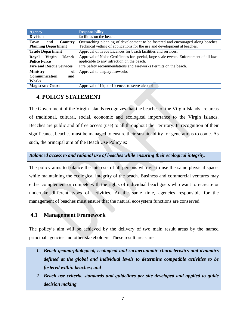| <b>Agency</b>                            | <b>Responsibility</b>                                                                   |
|------------------------------------------|-----------------------------------------------------------------------------------------|
| <b>Division</b>                          | facilities on the beach.                                                                |
| Town<br><b>Country</b><br>and            | Overarching planning of development to be fostered and encouraged along beaches.        |
| <b>Planning Department</b>               | Technical vetting of applications for the use and development at beaches.               |
| <b>Trade Department</b>                  | Approval of Trade Licences for beach facilities and services.                           |
| <b>Islands</b><br><b>Virgin</b><br>Royal | Approval of Noise Certificates for special, large scale events. Enforcement of all laws |
| <b>Police Force</b>                      | applicable to any infraction on the beach.                                              |
| <b>Fire and Rescue Services</b>          | Fire Safety recommendations and Fireworks Permits on the beach.                         |
| <b>Ministry</b><br>of                    | Approval to display fireworks                                                           |
| Communication<br>and                     |                                                                                         |
| Works                                    |                                                                                         |
| <b>Magistrate Court</b>                  | Approval of Liquor Licences to serve alcohol                                            |

# **4. POLICY STATEMENT**

The Government of the Virgin Islands recognizes that the beaches of the Virgin Islands are areas of traditional, cultural, social, economic and ecological importance to the Virgin Islands. Beaches are public and of free access (use) to all throughout the Territory. In recognition of their significance, beaches must be managed to ensure their sustainability for generations to come. As such, the principal aim of the Beach Use Policy is:

## *Balanced access to and rational use of beaches while ensuring their ecological integrity.*

The policy aims to balance the interests of all persons who vie to use the same physical space, while maintaining the ecological integrity of the beach. Business and commercial ventures may either complement or compete with the rights of individual beachgoers who want to recreate or undertake different types of activities. At the same time, agencies responsible for the management of beaches must ensure that the natural ecosystem functions are conserved.

## **4.1 Management Framework**

The policy's aim will be achieved by the delivery of two main result areas by the named principal agencies and other stakeholders. These result areas are:

- *1. Beach geomorphological, ecological and socioeconomic characteristics and dynamics defined at the global and individual levels to determine compatible activities to be fostered within beaches; and*
- *2. Beach use criteria, standards and guidelines per site developed and applied to guide decision making*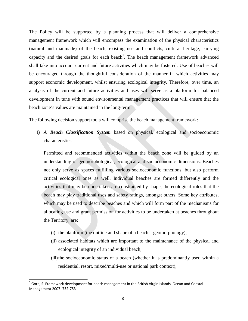The Policy will be supported by a planning process that will deliver a comprehensive management framework which will encompass the examination of the physical characteristics (natural and manmade) of the beach, existing use and conflicts, cultural heritage, carrying capacity and the desired goals for each beach<sup>1</sup>. The beach management framework advanced shall take into account current and future activities which may be fostered. Use of beaches will be encouraged through the thoughtful consideration of the manner in which activities may support economic development, whilst ensuring ecological integrity. Therefore, over time, an analysis of the current and future activities and uses will serve as a platform for balanced development in tune with sound environmental management practices that will ensure that the beach zone's values are maintained in the long-term.

The following decision support tools will comprise the beach management framework:

1) *A Beach Classification System* based on physical, ecological and socioeconomic characteristics.

Permitted and recommended activities within the beach zone will be guided by an understanding of geomorphological, ecological and socioeconomic dimensions. Beaches not only serve as spaces fulfilling various socioeconomic functions, but also perform critical ecological ones as well. Individual beaches are formed differently and the activities that may be undertaken are constrained by shape, the ecological roles that the beach may play traditional uses and safety ratings, amongst others. Some key attributes, which may be used to describe beaches and which will form part of the mechanisms for allocating use and grant permission for activities to be undertaken at beaches throughout the Territory, are:

- (i) the planform (the outline and shape of a beach geomorphology);
- (ii) associated habitats which are important to the maintenance of the physical and ecological integrity of an individual beach;
- (iii)the socioeconomic status of a beach (whether it is predominantly used within a residential, resort, mixed/multi-use or national park context);

<span id="page-7-0"></span> $1$  Gore, S. Framework development for beach management in the British Virgin Islands, Ocean and Coastal Management 2007: 732-753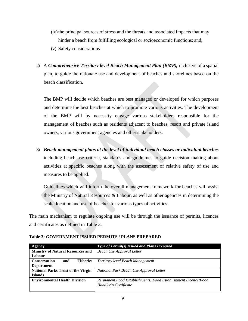- (iv) the principal sources of stress and the threats and associated impacts that may hinder a beach from fulfilling ecological or socioeconomic functions; and,
- (v) Safety considerations
- 2) *A Comprehensive Territory level Beach Management Plan (BMP)*, inclusive of a spatial plan, to guide the rationale use and development of beaches and shorelines based on the beach classification.

The BMP will decide which beaches are best managed or developed for which purposes and determine the best beaches at which to promote various activities. The development of the BMP will by necessity engage various stakeholders responsible for the management of beaches such as residents adjacent to beaches, resort and private island owners, various government agencies and other stakeholders.

3) *Beach management plans at the level of individual beach classes or individual beaches*  including beach use criteria, standards and guidelines to guide decision making about activities at specific beaches along with the assessment of relative safety of use and measures to be applied.

Guidelines which will inform the overall management framework for beaches will assist the Ministry of Natural Resources & Labour, as well as other agencies in determining the scale, location and use of beaches for various types of activities.

The main mechanism to regulate ongoing use will be through the issuance of permits, licences and certificates as defined in Table 3.

| Agency                                         | Type of Permit(s) Issued and Plans Prepared                    |
|------------------------------------------------|----------------------------------------------------------------|
| <b>Ministry of Natural Resources and</b>       | <b>Beach Use Approval Letter</b>                               |
| Labour                                         |                                                                |
| <b>Conservation</b><br>and<br><b>Fisheries</b> | <b>Territory level Beach Management</b>                        |
| <b>Department</b>                              |                                                                |
| <b>National Parks Trust of the Virgin</b>      | National Park Beach Use Approval Letter                        |
| <b>Islands</b>                                 |                                                                |
| <b>Environmental Health Division</b>           | Permanent Food Establishments: Food Establishment Licence/Food |
|                                                | Handler's Certificate                                          |
|                                                |                                                                |

**Table 3: GOVERNMENT ISSUED PERMITS / PLANS PREPARED**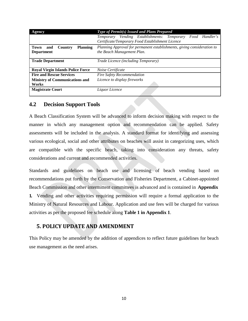| Agency                                    | Type of Permit(s) Issued and Plans Prepared                             |  |
|-------------------------------------------|-------------------------------------------------------------------------|--|
|                                           | Temporary Vending Establishments: Temporary Food Handler's              |  |
|                                           | Certificate/Temporary Food Establishment Licence                        |  |
| <b>Planning</b><br>Country<br>Town<br>and | Planning Approval for permanent establishments, giving consideration to |  |
| <b>Department</b>                         | the Beach Management Plan.                                              |  |
|                                           |                                                                         |  |
| <b>Trade Department</b>                   | Trade Licence (including Temporary)                                     |  |
|                                           |                                                                         |  |
| <b>Royal Virgin Islands Police Force</b>  | Noise Certificate                                                       |  |
| <b>Fire and Rescue Services</b>           | <b>Fire Safety Recommendation</b>                                       |  |
| <b>Ministry of Communications and</b>     | Licence to display fireworks                                            |  |
| Works                                     |                                                                         |  |
| <b>Magistrate Court</b>                   | Liquor Licence                                                          |  |
|                                           |                                                                         |  |

## **4.2 Decision Support Tools**

A Beach Classification System will be advanced to inform decision making with respect to the manner in which any management option and recommendation can be applied. Safety assessments will be included in the analysis. A standard format for identifying and assessing various ecological, social and other attributes on beaches will assist in categorizing uses, which are compatible with the specific beach, taking into consideration any threats, safety considerations and current and recommended activities.

Standards and guidelines on beach use and licensing of beach vending based on recommendations put forth by the Conservation and Fisheries Department, a Cabinet-appointed Beach Commission and other intermittent committees is advanced and is contained in **Appendix 1.** Vending and other activities requiring permission will require a formal application to the Ministry of Natural Resources and Labour. Application and use fees will be charged for various activities as per the proposed fee schedule along **Table 1 in Appendix 1**.

# **5. POLICY UPDATE AND AMENDMENT**

This Policy may be amended by the addition of appendices to reflect future guidelines for beach use management as the need arises.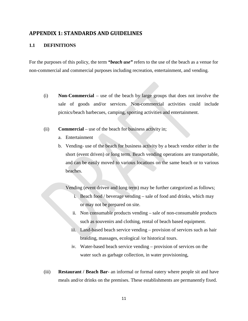## **APPENDIX 1: STANDARDS AND GUIDELINES**

### **1.1 DEFINITIONS**

For the purposes of this policy, the term *"beach use"* refers to the use of the beach as a venue for non-commercial and commercial purposes including recreation, entertainment, and vending.

- (i) **Non-Commercial**  use of the beach by large groups that does not involve the sale of goods and/or services. Non-commercial activities could include picnics/beach barbecues, camping, sporting activities and entertainment.
- (ii) **Commercial**  use of the beach for business activity in;
	- a. Entertainment
	- b. Vending- use of the beach for business activity by a beach vendor either in the short (event driven) or long term. Beach vending operations are transportable, and can be easily moved to various locations on the same beach or to various beaches.

Vending (event driven and long term) may be further categorized as follows;

- i. Beach food / beverage vending sale of food and drinks, which may or may not be prepared on site.
- ii. Non consumable products vending sale of non-consumable products such as souvenirs and clothing, rental of beach based equipment.
- iii. Land-based beach service vending provision of services such as hair braiding, massages, ecological /or historical tours.
- iv. Water-based beach service vending provision of services on the water such as garbage collection, in water provisioning,
- (iii) **Restaurant / Beach Bar** an informal or formal eatery where people sit and have meals and/or drinks on the premises. These establishments are permanently fixed.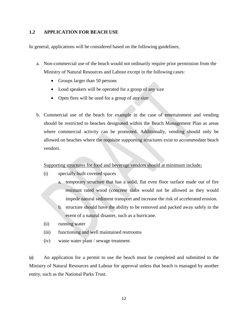### **1.2 APPLICATION FOR BEACH USE**

In general, applications will be considered based on the following guidelines;

- a. Non-commercial use of the beach would not ordinarily require prior permission from the Ministry of Natural Resources and Labour except in the following cases:
	- Groups larger than 50 persons
	- Loud speakers will be operated for a group of any size
	- Open fires will be used for a group of any size
- b. Commercial use of the beach for example in the case of entertainment and vending should be restricted to beaches designated within the Beach Management Plan as areas where commercial activity can be promoted. Additionally, vending should only be allowed on beaches where the requisite supporting structures exist to accommodate beach vendors.

#### Supporting structures for food and beverage vendors should at minimum include;

- (i) specially built covered spaces
	- a. temporary structure that has a solid, flat even floor surface made out of fire resistant rated wood (concrete slabs would not be allowed as they would impede natural sediment transport and increase the risk of accelerated erosion.
	- b. structure should have the ability to be removed and packed away safely in the event of a natural disaster, such as a hurricane.
- (ii) running water
- (iii) functioning and well maintained restrooms
- (iv) waste water plant / sewage treatment

(a) An application for a permit to use the beach must be completed and submitted to the Ministry of Natural Resources and Labour for approval unless that beach is managed by another entity, such as the National Parks Trust.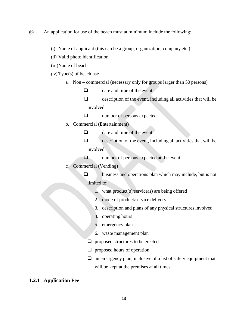- (b) An application for use of the beach must at minimum include the following;
	- (i) Name of applicant (this can be a group, organization, company etc.)
	- (ii) Valid photo identification
	- (iii)Name of beach
	- (iv) Type(s) of beach use
		- a. Non commercial (necessary only for groups larger than 50 persons)
			- $\Box$  date and time of the event
			- $\Box$  description of the event, including all activities that will be involved
			- $\square$  number of persons expected
		- b. Commercial (Entertainment)
			- $\Box$  date and time of the event
			- $\Box$  description of the event, including all activities that will be involved
			- $\Box$  number of persons expected at the event
		- c. Commercial (Vending)
			- $\square$  business and operations plan which may include, but is not limited to:
				- 1. what product(s)/service(s) are being offered
				- 2. mode of product/service delivery
				- 3. description and plans of any physical structures involved
				- 4. operating hours
				- 5. emergency plan
				- 6. waste management plan
				- $\Box$  proposed structures to be erected
				- $\Box$  proposed hours of operation
				- $\Box$  an emergency plan, inclusive of a list of safety equipment that will be kept at the premises at all times

#### **1.2.1 Application Fee**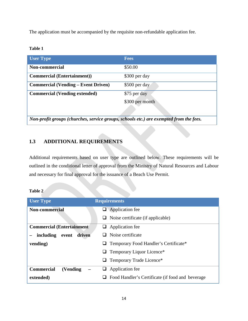The application must be accompanied by the requisite non-refundable application fee.

#### **Table 1**

| <b>User Type</b>                                                                       | <b>Fees</b>     |  |
|----------------------------------------------------------------------------------------|-----------------|--|
| <b>Non-commercial</b>                                                                  | \$50.00         |  |
| <b>Commercial (Entertainment))</b>                                                     | \$300 per day   |  |
| <b>Commercial (Vending – Event Driven)</b>                                             | \$500 per day   |  |
| <b>Commercial (Vending extended)</b>                                                   | \$75 per day    |  |
|                                                                                        | \$300 per month |  |
|                                                                                        |                 |  |
| Non-profit groups (churches, service groups, schools etc.) are exempted from the fees. |                 |  |

# **1.3 ADDITIONAL REQUIREMENTS**

Additional requirements based on user type are outlined below. These requirements will be outlined in the conditional letter of approval from the Ministry of Natural Resources and Labour and necessary for final approval for the issuance of a Beach Use Permit.

| `able |  |
|-------|--|
|-------|--|

| <b>User Type</b>                 | <b>Requirements</b>                              |
|----------------------------------|--------------------------------------------------|
| <b>Non-commercial</b>            | $\Box$ Application fee                           |
|                                  | Noise certificate (if applicable)                |
| <b>Commercial (Entertainment</b> | Application fee<br>u                             |
| driven<br>including event        | $\Box$ Noise certificate                         |
| vending)                         | Temporary Food Handler's Certificate*            |
|                                  | Temporary Liquor Licence*                        |
|                                  | Temporary Trade Licence*<br>⊔                    |
| <b>Commercial</b><br>(Vending)   | Application fee<br>┙                             |
| extended)                        | Food Handler's Certificate (if food and beverage |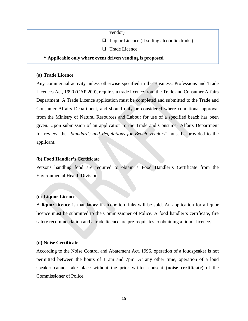| vendor)                                                  |  |
|----------------------------------------------------------|--|
| $\Box$ Liquor Licence (if selling alcoholic drinks)      |  |
| $\Box$ Trade Licence                                     |  |
| * Applicable only where event driven vending is proposed |  |

#### **(a) Trade Licence**

Any commercial activity unless otherwise specified in the Business, Professions and Trade Licences Act, 1990 (CAP 200), requires a trade licence from the Trade and Consumer Affairs Department. A Trade Licence application must be completed and submitted to the Trade and Consumer Affairs Department, and should only be considered where conditional approval from the Ministry of Natural Resources and Labour for use of a specified beach has been given. Upon submission of an application to the Trade and Consumer Affairs Department for review, the "*Standards and Regulations for Beach Vendors*" must be provided to the applicant.

#### **(b) Food Handler's Certificate**

Persons handling food are required to obtain a Food Handler's Certificate from the Environmental Health Division.

#### **(c) Liquor Licence**

A **liquor licence** is mandatory if alcoholic drinks will be sold. An application for a liquor licence must be submitted to the Commissioner of Police. A food handler's certificate, fire safety recommendation and a trade licence are pre-requisites to obtaining a liquor licence.

#### **(d) Noise Certificate**

According to the Noise Control and Abatement Act, 1996, operation of a loudspeaker is not permitted between the hours of 11am and 7pm. At any other time, operation of a loud speaker cannot take place without the prior written consent (**noise certificate**) of the Commissioner of Police.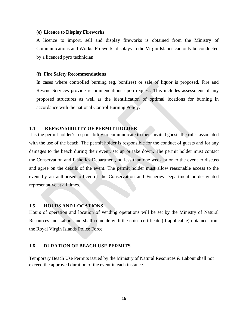#### **(e) Licence to Display Fireworks**

A licence to import, sell and display fireworks is obtained from the Ministry of Communications and Works. Fireworks displays in the Virgin Islands can only be conducted by a licenced pyro technician.

#### **(f) Fire Safety Recommendations**

In cases where controlled burning (eg. bonfires) or sale of liquor is proposed, Fire and Rescue Services provide recommendations upon request. This includes assessment of any proposed structures as well as the identification of optimal locations for burning in accordance with the national Control Burning Policy.

#### **1.4 REPSONSIBILITY OF PERMIT HOLDER**

It is the permit holder's responsibility to communicate to their invited guests the rules associated with the use of the beach. The permit holder is responsible for the conduct of guests and for any damages to the beach during their event, set up or take down. The permit holder must contact the Conservation and Fisheries Department, no less than one week prior to the event to discuss and agree on the details of the event. The permit holder must allow reasonable access to the event by an authorised officer of the Conservation and Fisheries Department or designated representative at all times.

#### **1.5 HOURS AND LOCATIONS**

Hours of operation and location of vending operations will be set by the Ministry of Natural Resources and Labour and shall coincide with the noise certificate (if applicable) obtained from the Royal Virgin Islands Police Force.

#### **1.6 DURATION OF BEACH USE PERMITS**

Temporary Beach Use Permits issued by the Ministry of Natural Resources & Labour shall not exceed the approved duration of the event in each instance.